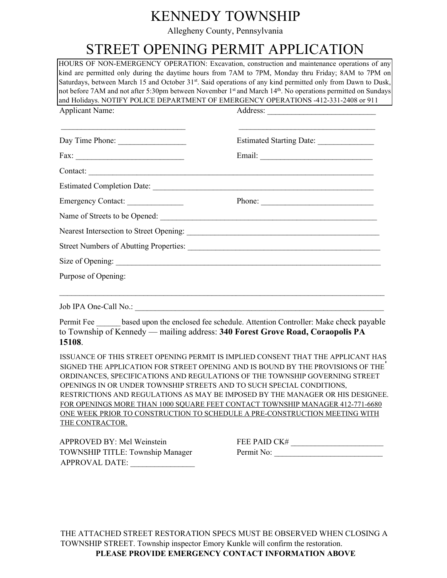# KENNEDY TOWNSHIP

Allegheny County, Pennsylvania

# STREET OPENING PERMIT APPLICATION

HOURS OF NON-EMERGENCY OPERATION: Excavation, construction and maintenance operations of any kind are permitted only during the daytime hours from 7AM to 7PM, Monday thru Friday; 8AM to 7PM on Saturdays, between March 15 and October 31<sup>st</sup>. Said operations of any kind permitted only from Dawn to Dusk, not before 7AM and not after 5:30pm between November 1<sup>st</sup> and March 14<sup>th</sup>. No operations permitted on Sundays and Holidays. NOTIFY POLICE DEPARTMENT OF EMERGENCY OPERATIONS -412-331-2408 or 911

| <b>Applicant Name:</b>                                     |                                                                                                                                                                                                                                                                                                                                                                                                              |
|------------------------------------------------------------|--------------------------------------------------------------------------------------------------------------------------------------------------------------------------------------------------------------------------------------------------------------------------------------------------------------------------------------------------------------------------------------------------------------|
| <u> 1989 - Johann Stoff, amerikansk politiker (* 1908)</u> | <u> 1989 - Johann Harry Harry Harry Harry Harry Harry Harry Harry Harry Harry Harry Harry Harry Harry Harry Harry</u><br>Estimated Starting Date: _______________                                                                                                                                                                                                                                            |
| Fax:                                                       |                                                                                                                                                                                                                                                                                                                                                                                                              |
|                                                            | Contact:                                                                                                                                                                                                                                                                                                                                                                                                     |
|                                                            |                                                                                                                                                                                                                                                                                                                                                                                                              |
| Emergency Contact:                                         | Phone: $\frac{1}{\sqrt{1-\frac{1}{2}}\sqrt{1-\frac{1}{2}}\sqrt{1-\frac{1}{2}}\sqrt{1-\frac{1}{2}}\sqrt{1-\frac{1}{2}}\sqrt{1-\frac{1}{2}}\sqrt{1-\frac{1}{2}}\sqrt{1-\frac{1}{2}}\sqrt{1-\frac{1}{2}}\sqrt{1-\frac{1}{2}}\sqrt{1-\frac{1}{2}}\sqrt{1-\frac{1}{2}}\sqrt{1-\frac{1}{2}}\sqrt{1-\frac{1}{2}}\sqrt{1-\frac{1}{2}}\sqrt{1-\frac{1}{2}}\sqrt{1-\frac{1}{2}}\sqrt{1-\frac{1}{2}}\sqrt{1-\frac{1}{2$ |
|                                                            |                                                                                                                                                                                                                                                                                                                                                                                                              |
|                                                            |                                                                                                                                                                                                                                                                                                                                                                                                              |
|                                                            |                                                                                                                                                                                                                                                                                                                                                                                                              |
|                                                            |                                                                                                                                                                                                                                                                                                                                                                                                              |
| Purpose of Opening:                                        |                                                                                                                                                                                                                                                                                                                                                                                                              |
|                                                            | ,我们也不能在这里的人,我们也不能在这里的人,我们也不能不能不能不能不能不能不能不能不能不能不能不能不能不能。""我们的人,我们也不能不能不能不能不能不能不能不能                                                                                                                                                                                                                                                                                                                            |
| 15108.                                                     | Permit Fee based upon the enclosed fee schedule. Attention Controller: Make check payable<br>to Township of Kennedy — mailing address: 340 Forest Grove Road, Coraopolis PA                                                                                                                                                                                                                                  |
|                                                            | ISSUANCE OF THIS STREET OPENING PERMIT IS IMPLIED CONSENT THAT THE APPLICANT HAS<br>SIGNED THE APPLICATION FOR STREET OPENING AND IS BOUND BY THE PROVISIONS OF THE<br>ORDINANCES, SPECIFICATIONS AND REGULATIONS OF THE TOWNSHIP GOVERNING STREET                                                                                                                                                           |

ORDINANCES, SPECIFICATIONS AND REGULATIONS OF THE TOWNSHIP GOVERNING STREET OPENINGS IN OR UNDER TOWNSHIP STREETS AND TO SUCH SPECIAL CONDITIONS, RESTRICTIONS AND REGULATIONS AS MAY BE IMPOSED BY THE MANAGER OR HIS DESIGNEE. FOR OPENINGS MORE THAN 1000 SQUARE FEET CONTACT TOWNSHIP MANAGER 412-771-6680 ONE WEEK PRIOR TO CONSTRUCTION TO SCHEDULE A PRE-CONSTRUCTION MEETING WITH THE CONTRACTOR.

| APPROVED BY: Mel Weinstein       | FEE PAID $CK#$ |
|----------------------------------|----------------|
| TOWNSHIP TITLE: Township Manager | Permit No:     |
| <b>APPROVAL DATE:</b>            |                |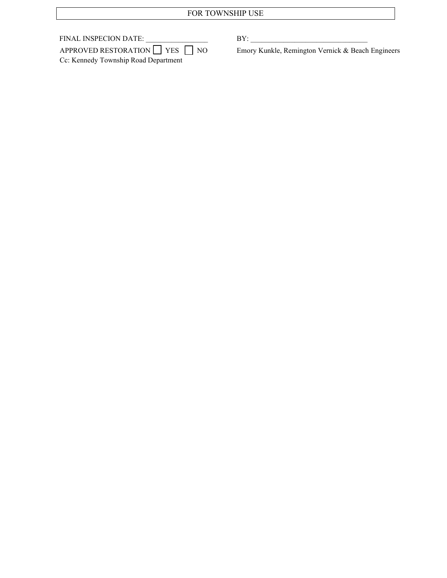## FOR TOWNSHIP USE

| FINAL INSPECION DATE:                     | $\rm RV$                                |
|-------------------------------------------|-----------------------------------------|
| APPROVED RESTORATION $\Box$ YES $\Box$ NO | Emory Kunkle, Remington Vernick & Beach |
| Cc: Kennedy Township Road Department      |                                         |

Emory Kunkle, Remington Vernick & Beach Engineers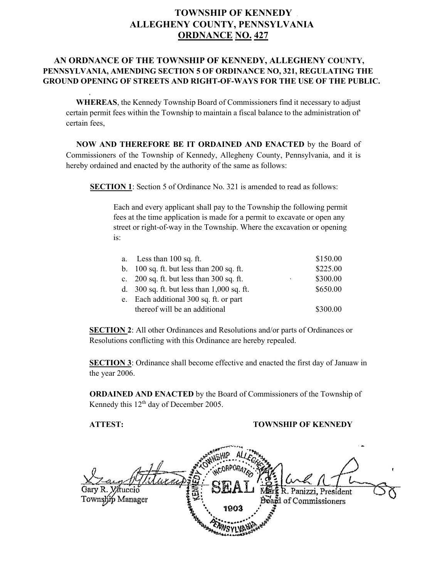## **TOWNSHIP OF KENNEDY ALLEGHENY COUNTY, PENNSYLVANIA ORDNANCE NO. 427**

### **AN ORDNANCE OF THE TOWNSHIP OF KENNEDY, ALLEGHENY COUNTY, PENNSYLVANIA, AMENDING SECTION 5 OF ORDINANCE NO, 321, REGULATING THE GROUND OPENING OF STREETS AND RIGHT-OF-WAYS FOR THE USE OF THE PUBLIC.**

 **WHEREAS**, the Kennedy Township Board of Commissioners find it necessary to adjust certain permit fees within the Township to maintain a fiscal balance to the administration of' certain fees,

 **NOW AND THEREFORE BE IT ORDAINED AND ENACTED** by the Board of Commissioners of the Township of Kennedy, Allegheny County, Pennsylvania, and it is hereby ordained and enacted by the authority of the same as follows:

**SECTION 1**: Section 5 of Ordinance No. 321 is amended to read as follows:

Each and every applicant shall pay to the Township the following permit fees at the time application is made for a permit to excavate or open any street or right-of-way in the Township. Where the excavation or opening is:

| a. | Less than $100$ sq. ft.                      |   | \$150.00 |
|----|----------------------------------------------|---|----------|
|    | b. $100$ sq. ft. but less than 200 sq. ft.   |   | \$225.00 |
|    | c. $200$ sq. ft. but less than $300$ sq. ft. | ٠ | \$300.00 |
|    | d. $300$ sq. ft. but less than 1,000 sq. ft. |   | \$650.00 |
| e. | Each additional 300 sq. ft. or part          |   |          |
|    | thereof will be an additional                |   | \$300.00 |

**SECTION 2**: All other Ordinances and Resolutions and/or parts of Ordinances or Resolutions conflicting with this Ordinance are hereby repealed.

**SECTION 3**: Ordinance shall become effective and enacted the first day of Januaw in the year 2006.

**ORDAINED AND ENACTED** by the Board of Commissioners of the Township of Kennedy this 12<sup>th</sup> day of December 2005.

#### **ATTEST: TOWNSHIP OF KENNEDY**

tucció Panizzi, President Township Manager and of Commissioners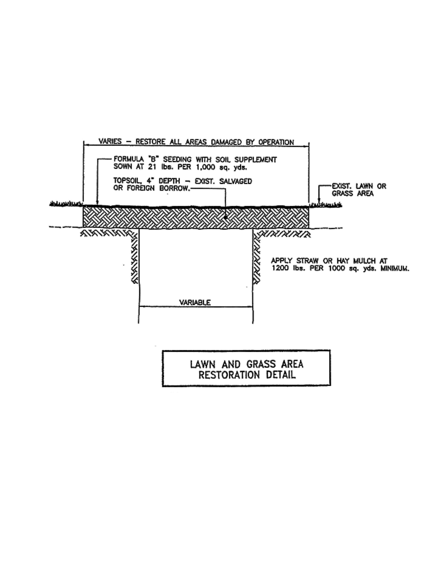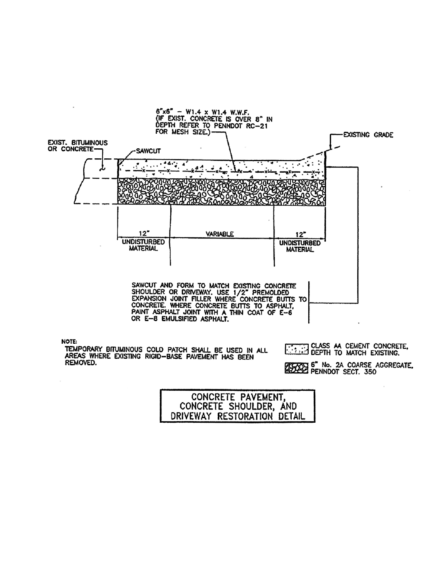

| CONCRETE PAVEMENT,          |  |
|-----------------------------|--|
| CONCRETE SHOULDER, AND      |  |
| DRIVEWAY RESTORATION DETAIL |  |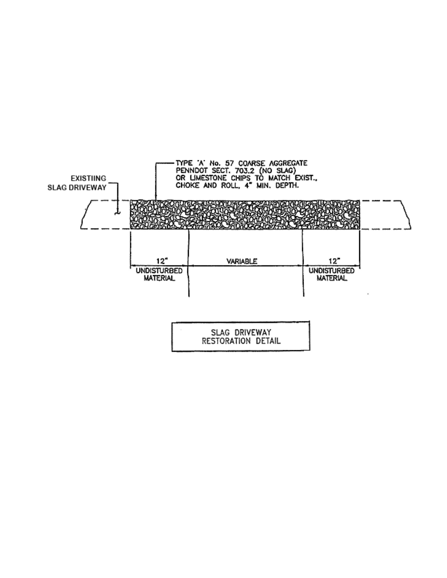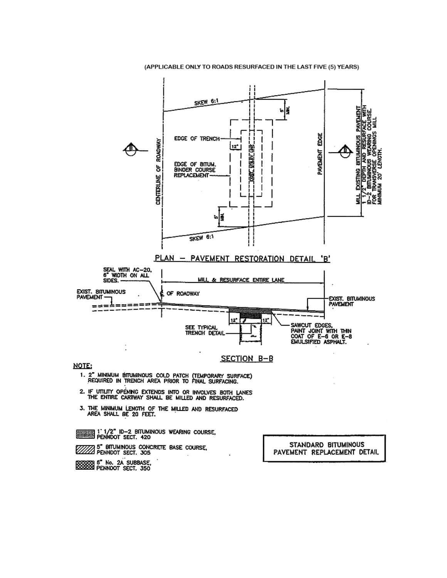#### (APPLICABLE ONLY TO ROADS RESURFACED IN THE LAST FIVE (5) YEARS)



2008 <sup>e "</sup> No. 2A SUBBASE.<br>22 PENNOOT SECT, 350

PAVEMENT REPLACEMENT DETAIL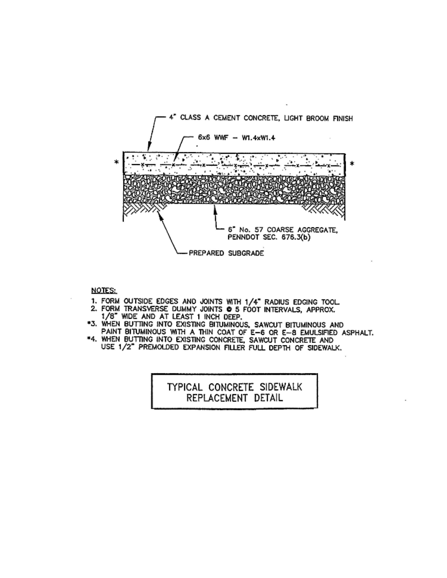

#### **NOTES:**

- 
- 1. FORM OUTSIDE EDGES AND JOINTS WITH 1/4" RADIUS EDGING TOOL.<br>2. FORM TRANSVERSE DUMMY JOINTS @ 5 FOOT INTERVALS, APPROX. 1/8" WIDE AND AT LEAST 1 INCH DEEP.
- \*3. WHEN BUTTING INTO EXISTING BITUMINOUS, SAWCUT BITUMINOUS AND PAINT BITUMINOUS WITH A THIN COAT OF E-6 OR E-8 EMULSIFIED ASPHALT.<br>\*4. WHEN BUTTING INTO EXISTING CONCRETE, SAWCUT CONCRETE AND
- USE 1/2" PREMOLDED EXPANSION FILLER FULL DEPTH OF SIDEWALK.

TYPICAL CONCRETE SIDEWALK REPLACEMENT DETAIL